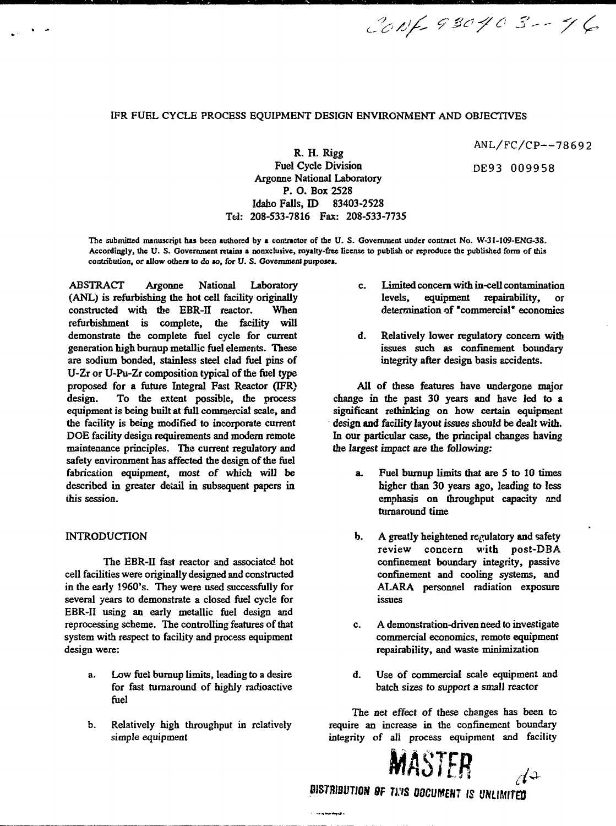# **IFR FUEL CYCLE PROCESS EQUIPMENT DESIGN ENVIRONMENT AND OBJECTIVES**

ANL/FC/CP—78692

DE93 009958

CONF 930403 -- 46

**R. H. Rigg Fuel Cycle Division Argonne National Laboratory P. O. Box 2528 Idaho Falls, ID 83403-2528 Tel: 208-533-7816 Fax: 208-533-7735**

**The submitted manuscript has been authored by a contractor of the U. S. Government under contract No. W-31-109-ENG-3S. Accordingly, the U. S. Government retains a nonxclusive, royalty-free license to publish or reproduce (he published form of (his contribution, or allow others to do** *to, for V. S.* **Government puiposes.**

**ABSTRACT Argonne National Laboratory (ANL) is refurbishing the hot cell facility originally** constructed with the EBR-II reactor. **refurbishment is complete, the facility will demonstrate the complete fuel cycle for current generation high buraup metallic fuel elements. These are sodium bonded, stainless steel clad fuel pins of U-Zr or U-Pu-Zr composition typical of the fuel type proposed for a future Integral Fast Reactor (IFR) design. To the extent possible, the process equipment is being built at full commercial scale, and the facility is being modified to incorporate current DOE facility design requirements and modern remote maintenance principles. The current regulatory and safety environment has affected the design of the fuel fabrication equipment, most of which will be described in greater detail in subsequent papers in this session.**

#### **INTRODUCTION**

**The EBR-II fast reactor and associated hot cell facilities were originally designed and constructed in the early 1960's. They were used successfully for several years to demonstrate a closed fuel cycle for EBR-II using an early metallic fuel design and reprocessing scheme. The controlling features of that system with respect to facility and process equipment design were:**

- **a. Low fuel bumup limits, leading to a desire for fast turnaround of highly radioactive fuel**
- **b. Relatively high throughput in relatively simple equipment**
- **c. Limited concern with in-cell contamination levels, equipment repairability, or determination of "commercial\* economics**
- **d. Relatively lower regulatory concern with issues such as confinement boundary integrity after design basis accidents.**

**All of these features have undergone major change in the past 30 years and have led to a significant rethinking on how certain equipment design and facility layout issues should be dealt with. In our particular case, the principal changes having the largest impact are the following:**

- **a. Fuel burnup limits that are 5 to 10 times higher than 30 years ago, leading to less emphasis on throughput capacity and turnaround time**
- **b. A greatly heightened regulatory and safety review concern with post-DBA confinement boundary integrity, passive confinement and cooling systems, and ALARA personnel radiation exposure issues**
- **c. A demonstration-driven need to investigate commercial economics, remote equipment repairability, and waste minimization**
- **d. Use of commercial scale equipment and batch sizes to support a small reactor**

**The net effect of these changes has been to require an increase in the confinement boundary integrity of ali process equipment and facility**



BISTRIBUTION <del>O</del>F TIMS DOCUMENT IS UNLIMITED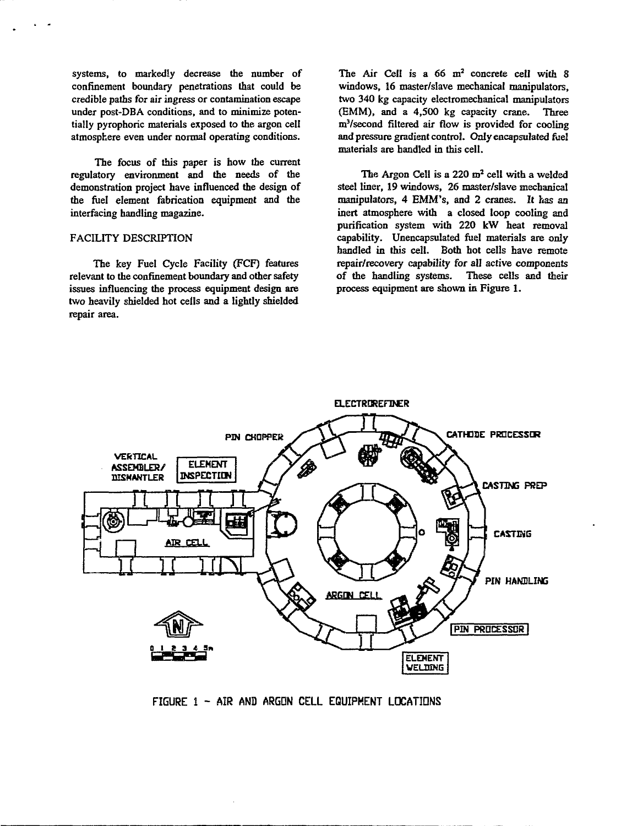systems, to markedly decrease the number of confinement boundary penetrations that could be credible paths for air ingress or contamination escape under post-DBA conditions, and to minimize potentially pyrophoric materials exposed to the argon cell atmosphere even under normal operating conditions.

The focus of this paper is how the current regulatory environment and the needs of the demonstration project have influenced the design of the fuel element fabrication equipment and the interfacing handling magazine.

### FACILITY DESCRIPTION

The key Fuel Cycle Facility (FCF) features relevant to the confinement boundary and other safety issues influencing the process equipment design are two heavily shielded hot ceils and a lightly shielded repair area.

The Air Cell is a  $66 \text{ m}^2$  concrete cell with 8 windows, 16 master/slave mechanical manipulators, two 340 kg capacity electromechanical manipulators (EMM), and a 4,500 kg capacity crane. Three m<sup>3</sup>/second filtered air flow is provided for cooling and pressure gradient control. Only encapsulated fuel materials are handled in this cell.

The Argon Cell is a 220 m<sup>2</sup> cell with a welded steel liner, 19 windows, 26 master/slave mechanical manipulators, 4 EMM's, and 2 cranes. It has an inert atmosphere with a closed loop cooling and purification system with 220 kW heat removal capability. Unencapsulated fuel materials are only handled in this cell. Both hot cells have remote repair/recovery capability for all active components of the handling systems. These cells and their process equipment are shown in Figure 1.



**FIGURE 1 - AIR AND ARGON CELL EQUIPMENT LOCATIONS**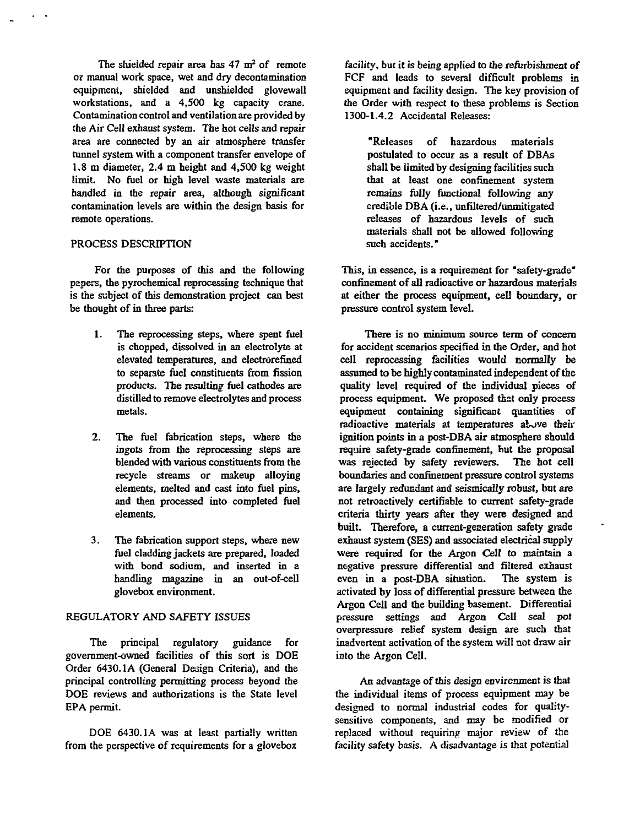The shielded repair area has  $47 \text{ m}^2$  of remote or manual work space, wet and dry decontamination equipment, shielded and unshielded glovewall workstations, and a 4,500 kg capacity crane. Contamination control and ventilation are provided by the Air Cell exhaust system. The hot cells and repair area are connected by an air atmosphere transfer tunnel system with a component transfer envelope of 1.8 m diameter, 2.4 m height and 4,500 kg weight limit. No fuel or high level waste materials are handled in the repair area, although significant contamination levels are within the design basis for remote operations.

#### PROCESS DESCRIPTION

For the purposes of this and the following papers, the pyrochemical reprocessing technique that is the subject of this demonstration project can best be thought of in three parts:

- 1. The reprocessing steps, where spent fuel is chopped, dissolved in an electrolyte at elevated temperatures, and electrorefined to separate fuel constituents from fission products. The resulting fuel cathodes are distilled to remove electrolytes and process metals.
- 2. The fuel fabrication steps, where the ingots from the reprocessing steps are blended with various constituents from the recycle streams or makeup alloying elements, melted and cast into fuel pins, and then processed into completed fuel elements.
- 3. The fabrication support steps, where new fuel cladding jackets are prepared, loaded with bond sodium, and inserted in a handling magazine in an out-of-cell glovebox environment.

### REGULATORY AND SAFETY ISSUES

The principal regulatory guidance for government-owned facilities of this sort is DOE Order 6430.1A (General Design Criteria), and the principal controlling permitting process beyond the DOE reviews and authorizations is the State level EPA permit.

DOE 6430.1A was at least partially written from the perspective of requirements for a glovebox

facility, but it is being applied to the refurbishment of FCF and leads to several difficult problems in equipment and facility design. The key provision of the Order with respect to these problems is Section 1300-1.4.2 Accidental Releases:

"Releases of hazardous materials postulated to occur as a result of DBAs shall be limited by designing facilities such that at least one confinement system remains fully functional following any credible DBA (i.e., unfiltered/unmitigated releases of hazardous levels of such materials shall not be allowed following such accidents."

This, in essence, is a requirement for "safety-grade" confinement of all radioactive or hazardous materials at either the process equipment, cell boundary, or pressure control system level.

There is no minimum source term of concern for accident scenarios specified in the Order, and hot cell reprocessing facilities would normally be assumed to be highly contaminated independent of the quality level required of the individual pieces of process equipment. We proposed that only process equipment containing significant quantities of radioactive materials at temperatures above their ignition points in a post-DBA air atmosphere should require safety-grade confinement, but the proposal was rejected by safety reviewers. The hot cell boundaries and confinement pressure control systems are largely redundant and seismically robust, but are not retroactively certifiable to current safety-grade criteria thirty years after they were designed and built. Therefore, a current-generation safety grade exhaust system (SES) and associated electrical supply were required for the Argon Cell to maintain a negative pressure differential and filtered exhaust even in a post-DBA situation. The system is activated by loss of differential pressure between the Argon Cell and the building basement. Differential pressure settings and Argon Cell seal poi overpressure relief system design are such that inadvertent activation of the system will not draw air into the Argon Cell.

An advantage of this design environment is that the individual items of process equipment may be designed to normal industrial codes for qualitysensitive components, and may be modified or replaced without requiring major review of the facility safety basis. A disadvantage is that potential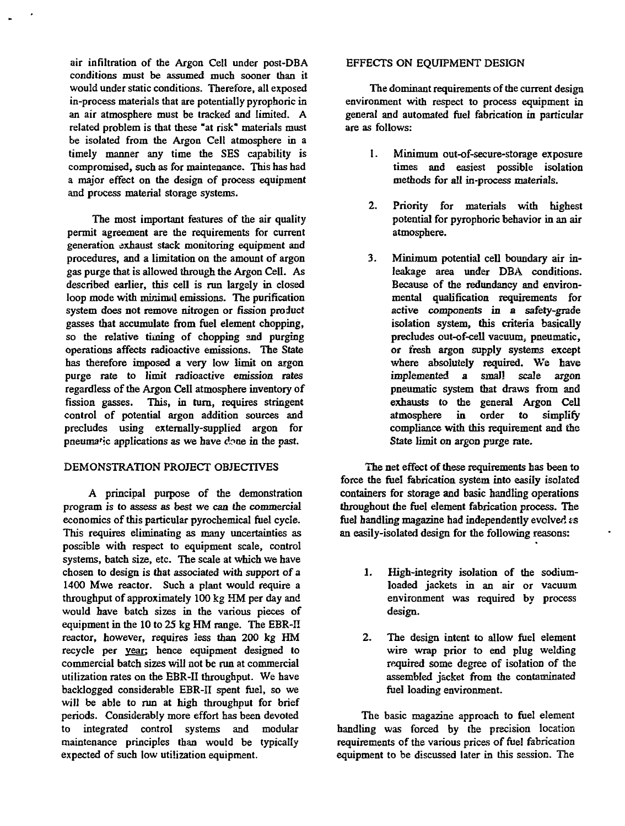air infiltration of the Argon Cell under post-DBA conditions must be assumed much sooner than it would under static conditions. Therefore, all exposed in-process materials that are potentially pyrophoric in an air atmosphere must be tracked and limited. A related problem is that these "at risk" materials must be isolated from the Argon Cell atmosphere in a timely manner any time the SES capability is compromised, such as for maintenance. This has had a major effect on the design of process equipment and process material storage systems.

The most important features of the air quality permit agreement are the requirements for current generation exhaust stack monitoring equipment and procedures, and a limitation on the amount of argon gas purge that is allowed through the Argon Cell. As described earlier, this cell is run largely in closed loop mode with minimal emissions. The purification system does not remove nitrogen or fission product gasses that accumulate from fuel element chopping, so the relative timing of chopping and purging operations affects radioactive emissions. The State has therefore imposed a very low limit on argon purge rate to limit radioactive emission rates regardless of the Argon Cell atmosphere inventory of fission gasses. This, in turn, requires stringent control of potential argon addition sources and precludes using externally-supplied argon for pneumatic applications as we have done in the past.

# DEMONSTRATION PROJECT OBJECTIVES

A principal purpose of the demonstration program is to assess as best we can the commercial economics of this particular pyrochemical fuel cycle. This requires eliminating as many uncertainties as possible with respect to equipment scale, control systems, batch size, etc. The scale at which we have chosen to design is that associated with support of a 1400 Mwe reactor. Such a plant would require a throughput of approximately 100 kg HM per day and would have batch sizes in the various pieces of equipment in the 10 to 25 kg HM range. The EBR-II reactor, however, requires less than 200 kg HM recycle per year: hence equipment designed to commercial batch sizes will not be run at commercial utilization rates on the EBR-II throughput. We have backlogged considerable EBR-II spent fuel, so we will be able to run at high throughput for brief periods. Considerably more effort has been devoted to integrated control systems and modular maintenance principles than would be typically expected of such low utilization equipment.

#### EFFECTS ON EQUIPMENT DESIGN

The dominant requirements of the current design environment with respect to process equipment in general and automated fuel fabrication in particular are as follows:

- 1. Minimum out-of-secure-storage exposure times and easiest possible isolation methods for all in-process materials.
- 2. Priority for materials with highest potential for pyrophoric behavior in an air atmosphere.
- 3. Minimum potential cell boundary air inleakage area under DBA conditions. Because of the redundancy and environmental qualification requirements for active components in a safety-grade isolation system, this criteria basically precludes out-of-cell vacuum, pneumatic, or fresh argon supply systems except where absolutely required. We have implemented a small scale argon pneumatic system that draws from and exhausts to the general Argon Cell atmosphere in order to simplify compliance with this requirement and the State limit on argon purge rate.

The net effect of these requirements has been to force the fuel fabrication system into easily isolated containers for storage and basic handling operations throughout the fuel element fabrication process. The fuel handling magazine had independently evolved ss an easily-isolated design for the following reasons:

- 1. High-integrity isolation of the sodiumloaded jackets in an air or vacuum environment was required by process design.
- 2. The design intent to allow fuel element wire wrap prior to end plug welding required some degree of isolation of the assembled jacket from the contaminated fuel loading environment.

The basic magazine approach to fuel element handling was forced by the precision location requirements of the various prices of fuel fabrication equipment to be discussed later in this session. The